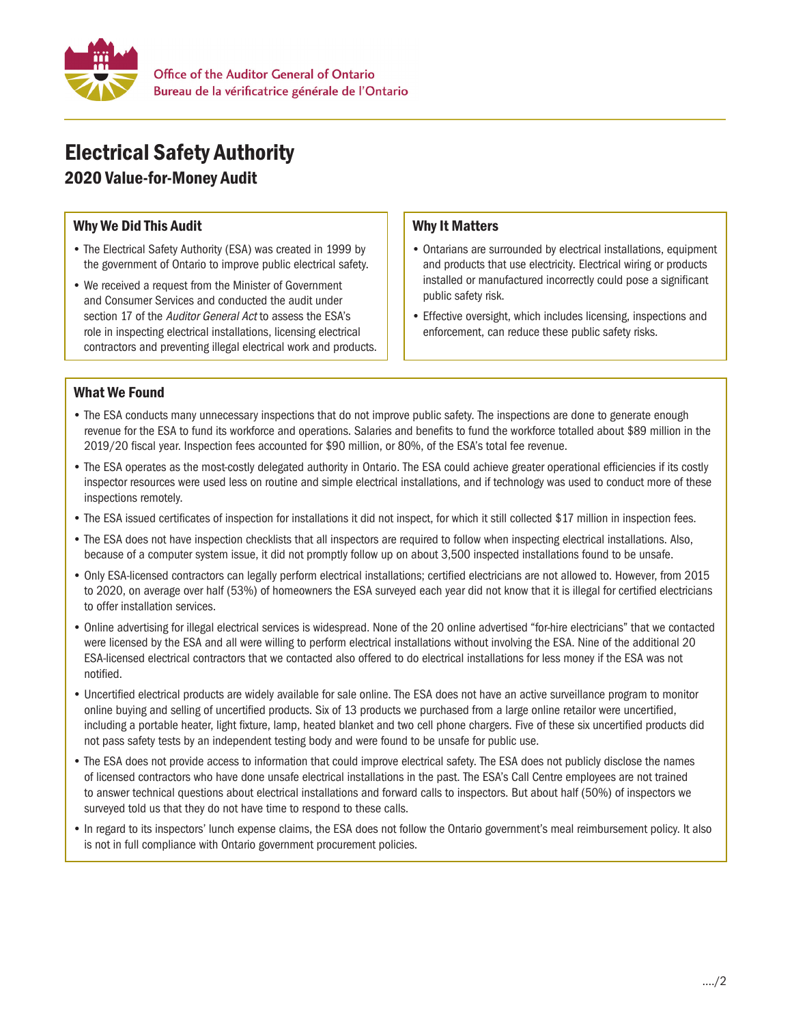

# Electrical Safety Authority

## 2020 Value-for-Money Audit

### Why We Did This Audit

- The Electrical Safety Authority (ESA) was created in 1999 by the government of Ontario to improve public electrical safety.
- We received a request from the Minister of Government and Consumer Services and conducted the audit under section 17 of the Auditor General Act to assess the ESA's role in inspecting electrical installations, licensing electrical contractors and preventing illegal electrical work and products.

#### Why It Matters

- Ontarians are surrounded by electrical installations, equipment and products that use electricity. Electrical wiring or products installed or manufactured incorrectly could pose a significant public safety risk.
- Effective oversight, which includes licensing, inspections and enforcement, can reduce these public safety risks.

#### What We Found

- The ESA conducts many unnecessary inspections that do not improve public safety. The inspections are done to generate enough revenue for the ESA to fund its workforce and operations. Salaries and benefits to fund the workforce totalled about \$89 million in the 2019/20 fiscal year. Inspection fees accounted for \$90 million, or 80%, of the ESA's total fee revenue.
- The ESA operates as the most-costly delegated authority in Ontario. The ESA could achieve greater operational efficiencies if its costly inspector resources were used less on routine and simple electrical installations, and if technology was used to conduct more of these inspections remotely.
- The ESA issued certificates of inspection for installations it did not inspect, for which it still collected \$17 million in inspection fees.
- The ESA does not have inspection checklists that all inspectors are required to follow when inspecting electrical installations. Also, because of a computer system issue, it did not promptly follow up on about 3,500 inspected installations found to be unsafe.
- Only ESA-licensed contractors can legally perform electrical installations; certified electricians are not allowed to. However, from 2015 to 2020, on average over half (53%) of homeowners the ESA surveyed each year did not know that it is illegal for certified electricians to offer installation services.
- Online advertising for illegal electrical services is widespread. None of the 20 online advertised "for-hire electricians" that we contacted were licensed by the ESA and all were willing to perform electrical installations without involving the ESA. Nine of the additional 20 ESA-licensed electrical contractors that we contacted also offered to do electrical installations for less money if the ESA was not notified.
- Uncertified electrical products are widely available for sale online. The ESA does not have an active surveillance program to monitor online buying and selling of uncertified products. Six of 13 products we purchased from a large online retailor were uncertified, including a portable heater, light fixture, lamp, heated blanket and two cell phone chargers. Five of these six uncertified products did not pass safety tests by an independent testing body and were found to be unsafe for public use.
- The ESA does not provide access to information that could improve electrical safety. The ESA does not publicly disclose the names of licensed contractors who have done unsafe electrical installations in the past. The ESA's Call Centre employees are not trained to answer technical questions about electrical installations and forward calls to inspectors. But about half (50%) of inspectors we surveyed told us that they do not have time to respond to these calls.
- In regard to its inspectors' lunch expense claims, the ESA does not follow the Ontario government's meal reimbursement policy. It also is not in full compliance with Ontario government procurement policies.